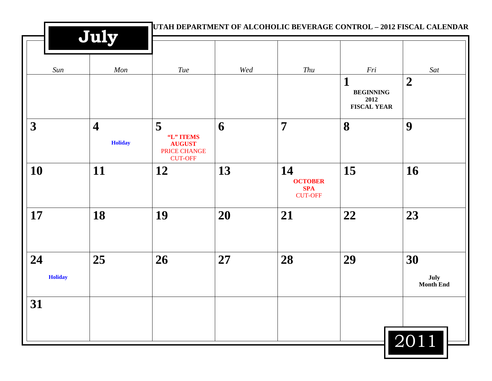|                      | July                                      | UTAH DEPARTMENT OF ALCOHOLIC BEVERAGE CONTROL – 2012 FISCAL CALENDAR |     |                                                      |                                                     |                                |  |
|----------------------|-------------------------------------------|----------------------------------------------------------------------|-----|------------------------------------------------------|-----------------------------------------------------|--------------------------------|--|
| Sun                  | Mon                                       | Tue                                                                  | Wed | Thu                                                  | Fri                                                 | Sat                            |  |
|                      |                                           |                                                                      |     |                                                      | 1<br><b>BEGINNING</b><br>2012<br><b>FISCAL YEAR</b> | $\boldsymbol{2}$               |  |
| $\boldsymbol{3}$     | $\overline{\mathbf{4}}$<br><b>Holiday</b> | 5<br>"L" ITEMS<br><b>AUGUST</b><br>PRICE CHANGE<br><b>CUT-OFF</b>    | 6   | $\overline{7}$                                       | 8                                                   | 9                              |  |
| 10                   | 11                                        | 12                                                                   | 13  | 14<br><b>OCTOBER</b><br><b>SPA</b><br><b>CUT-OFF</b> | 15                                                  | 16                             |  |
| 17                   | 18                                        | 19                                                                   | 20  | 21                                                   | 22                                                  | 23                             |  |
| 24<br><b>Holiday</b> | 25                                        | 26                                                                   | 27  | 28                                                   | 29                                                  | 30<br>July<br><b>Month End</b> |  |
| 31                   |                                           |                                                                      |     |                                                      |                                                     |                                |  |
|                      |                                           |                                                                      |     |                                                      |                                                     | 2011                           |  |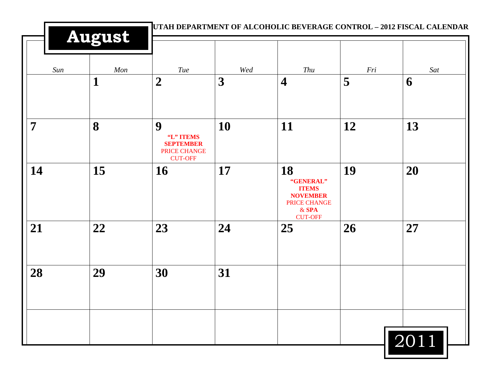| Sun | Mon         | Tue                                                                         | Wed | Thu                                                                                             | Fri | Sat  |
|-----|-------------|-----------------------------------------------------------------------------|-----|-------------------------------------------------------------------------------------------------|-----|------|
|     | $\mathbf 1$ | $\overline{2}$                                                              | 3   | $\overline{\mathbf{4}}$                                                                         | 5   | 6    |
| 7   | 8           | 9<br>"L" ITEMS<br><b>SEPTEMBER</b><br><b>PRICE CHANGE</b><br><b>CUT-OFF</b> | 10  | 11                                                                                              | 12  | 13   |
| 14  | 15          | 16                                                                          | 17  | 18<br>"GENERAL"<br><b>ITEMS</b><br><b>NOVEMBER</b><br>PRICE CHANGE<br>$&$ SPA<br><b>CUT-OFF</b> | 19  | 20   |
| 21  | 22          | 23                                                                          | 24  | 25                                                                                              | 26  | 27   |
| 28  | 29          | 30                                                                          | 31  |                                                                                                 |     |      |
|     |             |                                                                             |     |                                                                                                 |     | 2011 |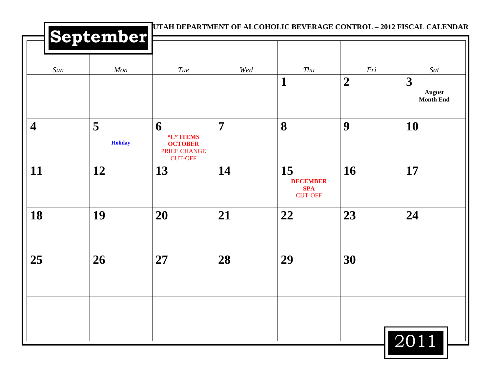|                         | September           |                                                                    |                | UTAH DEPARTMENT OF ALCOHOLIC BEVERAGE CONTROL - 2012 FISCAL CALENDAR |                       |                                               |
|-------------------------|---------------------|--------------------------------------------------------------------|----------------|----------------------------------------------------------------------|-----------------------|-----------------------------------------------|
| Sun                     | Mon                 | Tue                                                                | Wed            | Thu<br>$\mathbf 1$                                                   | Fri<br>$\overline{2}$ | Sat<br>3<br><b>August</b><br><b>Month End</b> |
| $\overline{\mathbf{4}}$ | 5<br><b>Holiday</b> | 6<br>"L" ITEMS<br><b>OCTOBER</b><br>PRICE CHANGE<br><b>CUT-OFF</b> | $\overline{7}$ | 8                                                                    | 9                     | 10                                            |
| 11                      | 12                  | 13                                                                 | 14             | 15<br><b>DECEMBER</b><br><b>SPA</b><br><b>CUT-OFF</b>                | <b>16</b>             | 17                                            |
| 18                      | 19                  | 20                                                                 | 21             | 22                                                                   | 23                    | 24                                            |
| 25                      | 26                  | 27                                                                 | 28             | 29                                                                   | 30                    |                                               |
|                         |                     |                                                                    |                |                                                                      |                       |                                               |
|                         |                     |                                                                    |                |                                                                      |                       | 2011                                          |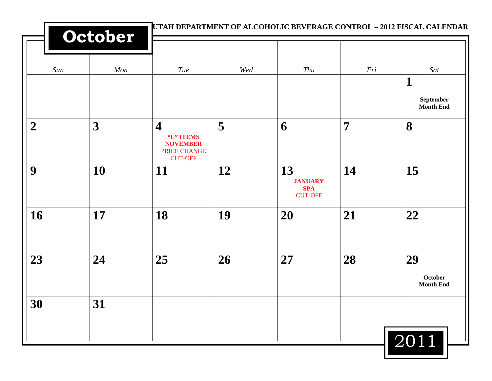|                | October   | UTAH DEPARTMENT OF ALCOHOLIC BEVERAGE CONTROL - 2012 FISCAL CALENDAR                      |     |                                                      |                |                                                      |
|----------------|-----------|-------------------------------------------------------------------------------------------|-----|------------------------------------------------------|----------------|------------------------------------------------------|
| Sun            | Mon       | Tue                                                                                       | Wed | Thu                                                  | Fri            | Sat<br>$\mathbf{1}$<br>September<br><b>Month End</b> |
| $\overline{2}$ | 3         | $\overline{\mathbf{4}}$<br>"L" ITEMS<br><b>NOVEMBER</b><br>PRICE CHANGE<br><b>CUT-OFF</b> | 5   | 6                                                    | $\overline{7}$ | 8                                                    |
| 9              | <b>10</b> | <b>11</b>                                                                                 | 12  | 13<br><b>JANUARY</b><br><b>SPA</b><br><b>CUT-OFF</b> | 14             | 15                                                   |
| 16             | 17        | 18                                                                                        | 19  | 20                                                   | 21             | 22                                                   |
| 23             | 24        | 25                                                                                        | 26  | 27                                                   | 28             | 29<br><b>October</b><br><b>Month End</b>             |
| 30             | 31        |                                                                                           |     |                                                      |                | $\overline{2011}$                                    |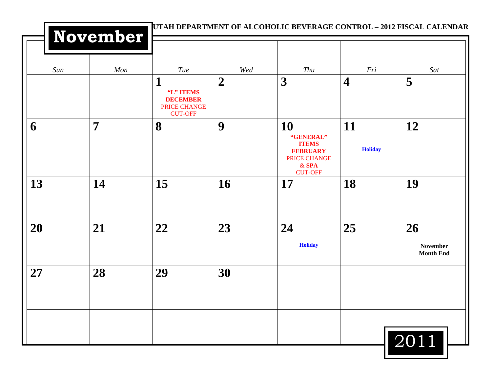|     | November       |                                                                            |                | UTAH DEPARTMENT OF ALCOHOLIC BEVERAGE CONTROL - 2012 FISCAL CALENDAR                            |                         |                                           |
|-----|----------------|----------------------------------------------------------------------------|----------------|-------------------------------------------------------------------------------------------------|-------------------------|-------------------------------------------|
| Sun | Mon            | Tue                                                                        | Wed            | Thu                                                                                             | Fri                     | Sat                                       |
|     |                | 1<br>"L" ITEMS<br><b>DECEMBER</b><br><b>PRICE CHANGE</b><br><b>CUT-OFF</b> | $\overline{2}$ | 3                                                                                               | $\overline{\mathbf{4}}$ | 5                                         |
| 6   | $\overline{7}$ | 8                                                                          | 9              | 10<br>"GENERAL"<br><b>ITEMS</b><br><b>FEBRUARY</b><br>PRICE CHANGE<br>$&$ SPA<br><b>CUT-OFF</b> | 11<br><b>Holiday</b>    | 12                                        |
| 13  | 14             | 15                                                                         | 16             | 17                                                                                              | 18                      | 19                                        |
| 20  | 21             | 22                                                                         | 23             | 24<br><b>Holiday</b>                                                                            | 25                      | 26<br><b>November</b><br><b>Month End</b> |
| 27  | 28             | 29                                                                         | 30             |                                                                                                 |                         |                                           |
|     |                |                                                                            |                |                                                                                                 |                         | 2011                                      |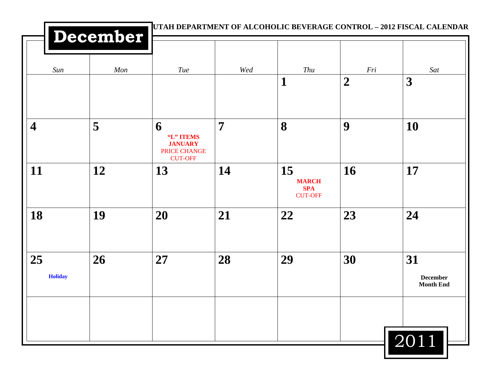|                         | December |                                                                    |                |                                                    |                  | UTAH DEPARTMENT OF ALCOHOLIC BEVERAGE CONTROL - 2012 FISCAL CALENDAR |
|-------------------------|----------|--------------------------------------------------------------------|----------------|----------------------------------------------------|------------------|----------------------------------------------------------------------|
| Sun                     | Mon      | Tue                                                                | Wed            | Thu                                                | Fri              | Sat                                                                  |
|                         |          |                                                                    |                | $\mathbf 1$                                        | $\boldsymbol{2}$ | 3                                                                    |
| $\overline{\mathbf{4}}$ | 5        | 6<br>"L" ITEMS<br><b>JANUARY</b><br>PRICE CHANGE<br><b>CUT-OFF</b> | $\overline{7}$ | 8                                                  | 9                | 10                                                                   |
| 11                      | 12       | 13                                                                 | 14             | 15<br><b>MARCH</b><br><b>SPA</b><br><b>CUT-OFF</b> | 16               | 17                                                                   |
| 18                      | 19       | 20                                                                 | 21             | 22                                                 | 23               | 24                                                                   |
| 25<br><b>Holiday</b>    | 26       | 27                                                                 | 28             | 29                                                 | 30               | 31<br><b>December</b><br><b>Month End</b>                            |
|                         |          |                                                                    |                |                                                    |                  | 2011                                                                 |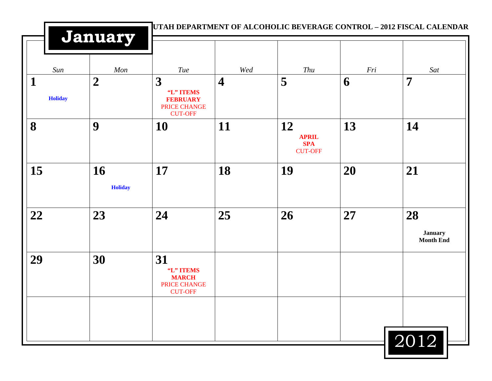|                                | January              |                                                                     |                         |                                                    |     | UTAH DEPARTMENT OF ALCOHOLIC BEVERAGE CONTROL - 2012 FISCAL CALENDAR |  |
|--------------------------------|----------------------|---------------------------------------------------------------------|-------------------------|----------------------------------------------------|-----|----------------------------------------------------------------------|--|
| Sun                            | Mon                  | Tue                                                                 | Wed                     | Thu                                                | Fri | Sat                                                                  |  |
| $\mathbf{1}$<br><b>Holiday</b> | $\boldsymbol{2}$     | 3<br>"L" ITEMS<br><b>FEBRUARY</b><br>PRICE CHANGE<br><b>CUT-OFF</b> | $\overline{\mathbf{4}}$ | 5                                                  | 6   | $\overline{7}$                                                       |  |
| 8                              | 9                    | 10                                                                  | 11                      | 12<br><b>APRIL</b><br><b>SPA</b><br><b>CUT-OFF</b> | 13  | 14                                                                   |  |
| 15                             | 16<br><b>Holiday</b> | 17                                                                  | 18                      | 19                                                 | 20  | 21                                                                   |  |
| 22                             | 23                   | 24                                                                  | 25                      | 26                                                 | 27  | 28<br><b>January</b><br><b>Month End</b>                             |  |
| 29                             | 30                   | 31<br>"L" ITEMS<br><b>MARCH</b><br>PRICE CHANGE<br><b>CUT-OFF</b>   |                         |                                                    |     |                                                                      |  |
|                                |                      |                                                                     |                         |                                                    |     | $\boxed{2012}$                                                       |  |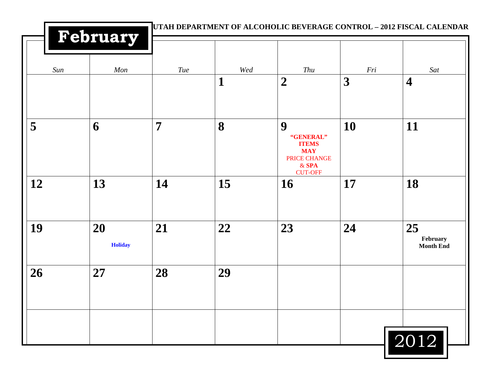|     | February             | UTAH DEPARTMENT OF ALCOHOLIC BEVERAGE CONTROL - 2012 FISCAL CALENDAR |     |                                                                         |     |                                    |
|-----|----------------------|----------------------------------------------------------------------|-----|-------------------------------------------------------------------------|-----|------------------------------------|
| Sun | Mon                  | Tue                                                                  | Wed | Thu                                                                     | Fri | Sat                                |
|     |                      |                                                                      | 1   | $\boldsymbol{2}$                                                        | 3   | $\overline{\mathbf{4}}$            |
| 5   | 6                    | $\overline{7}$                                                       | 8   | 9<br>"GENERAL"<br><b>ITEMS</b><br><b>MAY</b><br>PRICE CHANGE<br>$&$ SPA | 10  | 11                                 |
| 12  | 13                   | 14                                                                   | 15  | <b>CUT-OFF</b><br>16                                                    | 17  | 18                                 |
| 19  | 20<br><b>Holiday</b> | 21                                                                   | 22  | 23                                                                      | 24  | 25<br>February<br><b>Month End</b> |
| 26  | 27                   | 28                                                                   | 29  |                                                                         |     |                                    |
|     |                      |                                                                      |     |                                                                         |     | 2012                               |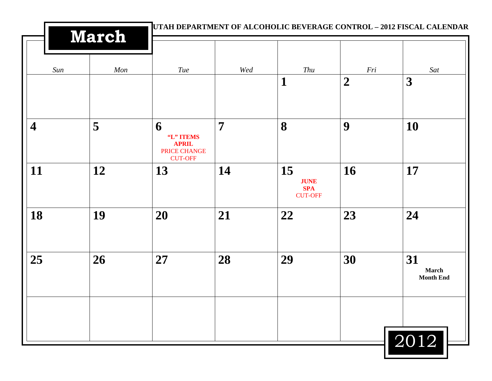|                         | <b>March</b> |                                                                  |                |                                                   | UTAH DEPARTMENT OF ALCOHOLIC BEVERAGE CONTROL - 2012 FISCAL CALENDAR |                                        |
|-------------------------|--------------|------------------------------------------------------------------|----------------|---------------------------------------------------|----------------------------------------------------------------------|----------------------------------------|
| Sun                     | Mon          | Tue                                                              | Wed            | Thu                                               | Fri                                                                  | Sat                                    |
|                         |              |                                                                  |                | 1                                                 | $\boldsymbol{2}$                                                     | 3                                      |
| $\overline{\mathbf{4}}$ | 5            | 6<br>"L" ITEMS<br><b>APRIL</b><br>PRICE CHANGE<br><b>CUT-OFF</b> | $\overline{7}$ | 8                                                 | 9                                                                    | 10                                     |
| 11                      | 12           | 13                                                               | 14             | 15<br><b>JUNE</b><br><b>SPA</b><br><b>CUT-OFF</b> | 16                                                                   | 17                                     |
| 18                      | 19           | 20                                                               | 21             | 22                                                | 23                                                                   | 24                                     |
| 25                      | 26           | 27                                                               | 28             | 29                                                | 30                                                                   | 31<br><b>March</b><br><b>Month End</b> |
|                         |              |                                                                  |                |                                                   |                                                                      | 2012                                   |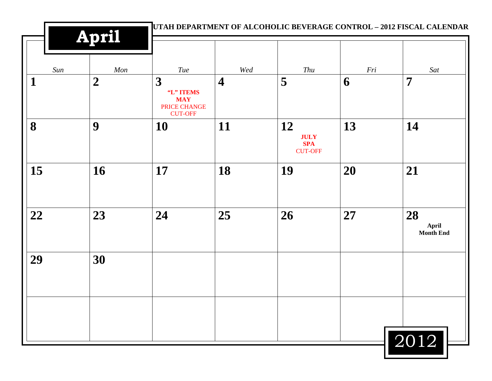|     | April            |                                                                |                         |                                                   | UTAH DEPARTMENT OF ALCOHOLIC BEVERAGE CONTROL - 2012 FISCAL CALENDAR |                          |
|-----|------------------|----------------------------------------------------------------|-------------------------|---------------------------------------------------|----------------------------------------------------------------------|--------------------------|
| Sun | Mon              | Tue                                                            | Wed                     | Thu                                               | Fri                                                                  | Sat                      |
| 1   | $\boldsymbol{2}$ | 3<br>"L" ITEMS<br><b>MAY</b><br>PRICE CHANGE<br><b>CUT-OFF</b> | $\overline{\mathbf{4}}$ | 5                                                 | 6                                                                    | $\overline{7}$           |
| 8   | 9                | 10                                                             | 11                      | 12<br><b>JULY</b><br><b>SPA</b><br><b>CUT-OFF</b> | 13                                                                   | 14                       |
| 15  | 16               | 17                                                             | 18                      | 19                                                | 20                                                                   | 21                       |
| 22  | 23               | 24                                                             | 25                      | 26                                                | 27                                                                   | 28<br>April<br>Month End |
| 29  | 30               |                                                                |                         |                                                   |                                                                      |                          |
|     |                  |                                                                |                         |                                                   |                                                                      |                          |
|     |                  |                                                                |                         |                                                   |                                                                      | 2012                     |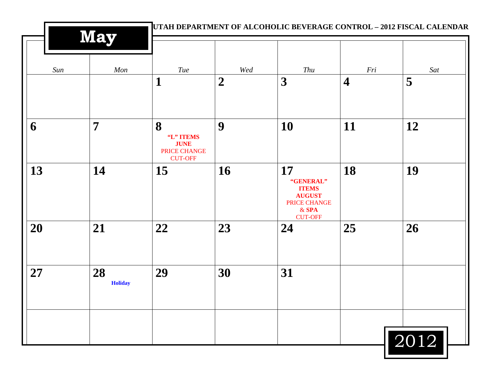|     | <b>May</b>           | UTAH DEPARTMENT OF ALCOHOLIC BEVERAGE CONTROL - 2012 FISCAL CALENDAR |                  |                                                                                                      |                         |      |  |
|-----|----------------------|----------------------------------------------------------------------|------------------|------------------------------------------------------------------------------------------------------|-------------------------|------|--|
| Sun | Mon                  | <b>Tue</b>                                                           | Wed              | Thu                                                                                                  | Fri                     | Sat  |  |
|     |                      | $\mathbf{1}$                                                         | $\boldsymbol{2}$ | $\boldsymbol{3}$                                                                                     | $\overline{\mathbf{4}}$ | 5    |  |
| 6   | $\overline{7}$       | 8<br>"L" ITEMS<br><b>JUNE</b><br>PRICE CHANGE<br><b>CUT-OFF</b>      | 9                | 10                                                                                                   | 11                      | 12   |  |
| 13  | 14                   | 15                                                                   | 16               | <b>17</b><br>"GENERAL"<br><b>ITEMS</b><br><b>AUGUST</b><br>PRICE CHANGE<br>$&$ SPA<br><b>CUT-OFF</b> | 18                      | 19   |  |
| 20  | 21                   | 22                                                                   | 23               | 24                                                                                                   | 25                      | 26   |  |
| 27  | 28<br><b>Holiday</b> | 29                                                                   | 30               | 31                                                                                                   |                         |      |  |
|     |                      |                                                                      |                  |                                                                                                      |                         | 2012 |  |